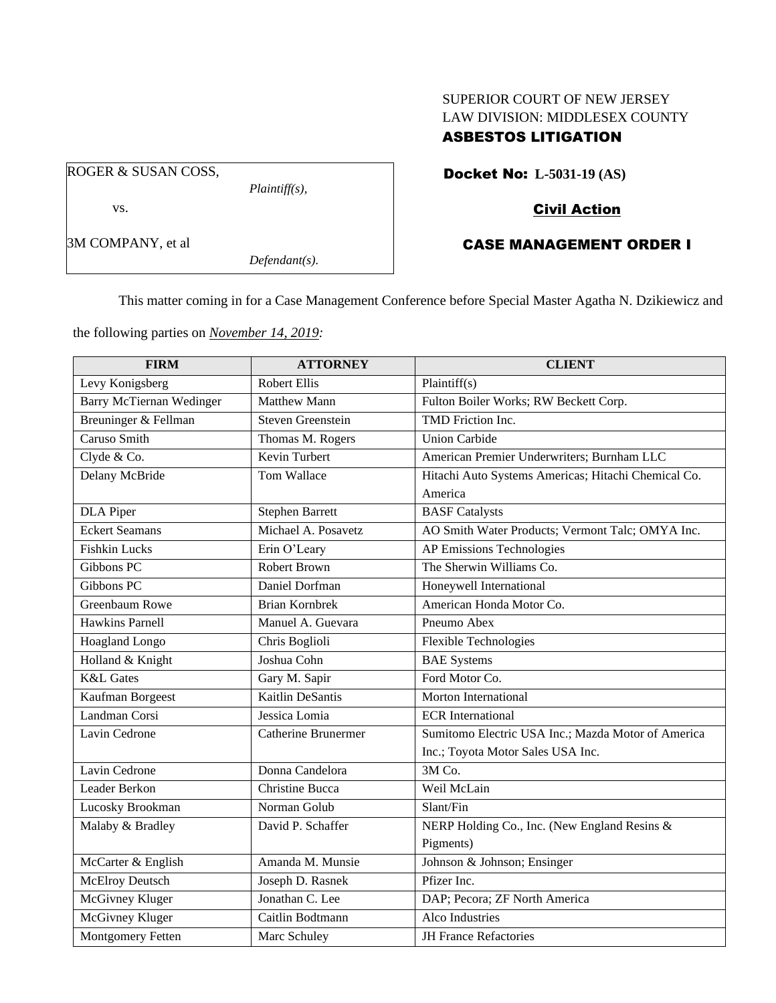## SUPERIOR COURT OF NEW JERSEY LAW DIVISION: MIDDLESEX COUNTY ASBESTOS LITIGATION

ROGER & SUSAN COSS,

vs.

3M COMPANY, et al

*Plaintiff(s),*

*Defendant(s).*

Docket No: **L-5031-19 (AS)**

# Civil Action

# CASE MANAGEMENT ORDER I

This matter coming in for a Case Management Conference before Special Master Agatha N. Dzikiewicz and

the following parties on *November 14, 2019:*

| <b>FIRM</b>                     | <b>ATTORNEY</b>            | <b>CLIENT</b>                                       |
|---------------------------------|----------------------------|-----------------------------------------------------|
| Levy Konigsberg                 | <b>Robert Ellis</b>        | Plaintiff(s)                                        |
| <b>Barry McTiernan Wedinger</b> | <b>Matthew Mann</b>        | Fulton Boiler Works; RW Beckett Corp.               |
| Breuninger & Fellman            | Steven Greenstein          | TMD Friction Inc.                                   |
| Caruso Smith                    | Thomas M. Rogers           | <b>Union Carbide</b>                                |
| Clyde & Co.                     | Kevin Turbert              | American Premier Underwriters; Burnham LLC          |
| Delany McBride                  | Tom Wallace                | Hitachi Auto Systems Americas; Hitachi Chemical Co. |
|                                 |                            | America                                             |
| DLA Piper                       | <b>Stephen Barrett</b>     | <b>BASF</b> Catalysts                               |
| <b>Eckert Seamans</b>           | Michael A. Posavetz        | AO Smith Water Products; Vermont Talc; OMYA Inc.    |
| <b>Fishkin Lucks</b>            | Erin O'Leary               | AP Emissions Technologies                           |
| Gibbons PC                      | <b>Robert Brown</b>        | The Sherwin Williams Co.                            |
| Gibbons PC                      | Daniel Dorfman             | Honeywell International                             |
| Greenbaum Rowe                  | <b>Brian Kornbrek</b>      | American Honda Motor Co.                            |
| <b>Hawkins Parnell</b>          | Manuel A. Guevara          | Pneumo Abex                                         |
| Hoagland Longo                  | Chris Boglioli             | <b>Flexible Technologies</b>                        |
| Holland & Knight                | Joshua Cohn                | <b>BAE</b> Systems                                  |
| <b>K&amp;L</b> Gates            | Gary M. Sapir              | Ford Motor Co.                                      |
| Kaufman Borgeest                | <b>Kaitlin DeSantis</b>    | <b>Morton International</b>                         |
| Landman Corsi                   | Jessica Lomia              | <b>ECR</b> International                            |
| Lavin Cedrone                   | <b>Catherine Brunermer</b> | Sumitomo Electric USA Inc.; Mazda Motor of America  |
|                                 |                            | Inc.; Toyota Motor Sales USA Inc.                   |
| Lavin Cedrone                   | Donna Candelora            | 3M Co.                                              |
| Leader Berkon                   | <b>Christine Bucca</b>     | Weil McLain                                         |
| Lucosky Brookman                | Norman Golub               | Slant/Fin                                           |
| Malaby & Bradley                | David P. Schaffer          | NERP Holding Co., Inc. (New England Resins &        |
|                                 |                            | Pigments)                                           |
| McCarter & English              | Amanda M. Munsie           | Johnson & Johnson; Ensinger                         |
| McElroy Deutsch                 | Joseph D. Rasnek           | Pfizer Inc.                                         |
| McGivney Kluger                 | Jonathan C. Lee            | DAP; Pecora; ZF North America                       |
| McGivney Kluger                 | Caitlin Bodtmann           | Alco Industries                                     |
| Montgomery Fetten               | Marc Schuley               | <b>JH France Refactories</b>                        |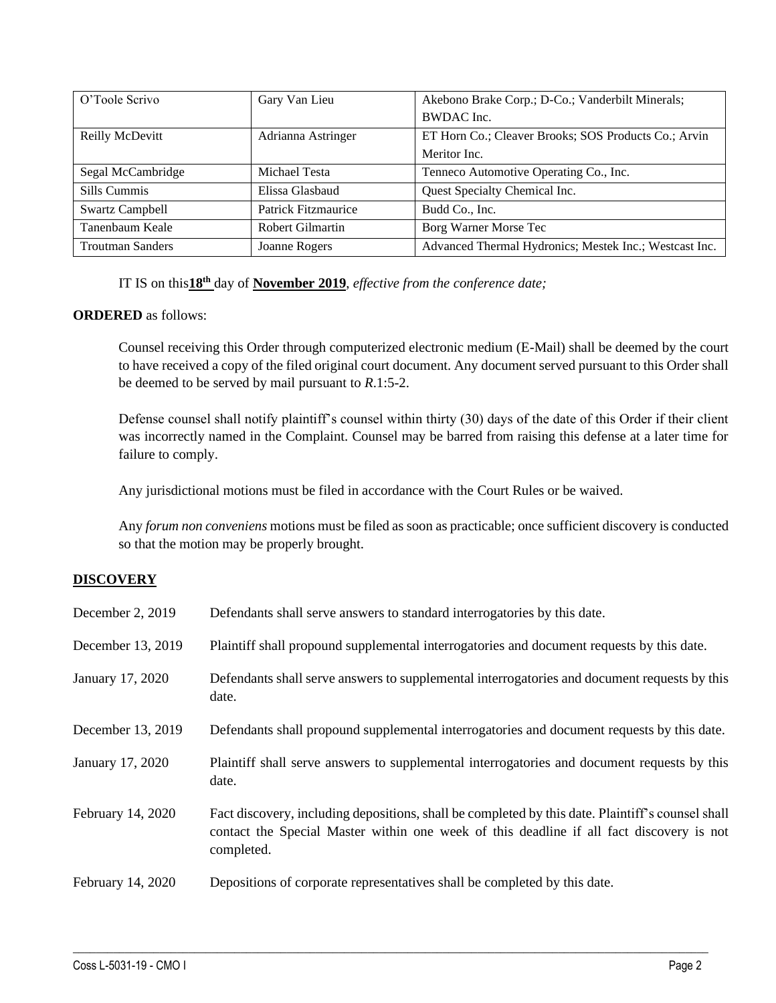| O'Toole Scrivo          | Gary Van Lieu       | Akebono Brake Corp.; D-Co.; Vanderbilt Minerals;       |
|-------------------------|---------------------|--------------------------------------------------------|
|                         |                     | BWDAC Inc.                                             |
| Reilly McDevitt         | Adrianna Astringer  | ET Horn Co.; Cleaver Brooks; SOS Products Co.; Arvin   |
|                         |                     | Meritor Inc.                                           |
| Segal McCambridge       | Michael Testa       | Tenneco Automotive Operating Co., Inc.                 |
| Sills Cummis            | Elissa Glasbaud     | Quest Specialty Chemical Inc.                          |
| <b>Swartz Campbell</b>  | Patrick Fitzmaurice | Budd Co., Inc.                                         |
| Tanenbaum Keale         | Robert Gilmartin    | Borg Warner Morse Tec                                  |
| <b>Troutman Sanders</b> | Joanne Rogers       | Advanced Thermal Hydronics; Mestek Inc.; Westcast Inc. |

#### IT IS on this**18th** day of **November 2019**, *effective from the conference date;*

#### **ORDERED** as follows:

Counsel receiving this Order through computerized electronic medium (E-Mail) shall be deemed by the court to have received a copy of the filed original court document. Any document served pursuant to this Order shall be deemed to be served by mail pursuant to *R*.1:5-2.

Defense counsel shall notify plaintiff's counsel within thirty (30) days of the date of this Order if their client was incorrectly named in the Complaint. Counsel may be barred from raising this defense at a later time for failure to comply.

Any jurisdictional motions must be filed in accordance with the Court Rules or be waived.

Any *forum non conveniens* motions must be filed as soon as practicable; once sufficient discovery is conducted so that the motion may be properly brought.

### **DISCOVERY**

| December 2, 2019  | Defendants shall serve answers to standard interrogatories by this date.                                                                                                                                    |
|-------------------|-------------------------------------------------------------------------------------------------------------------------------------------------------------------------------------------------------------|
| December 13, 2019 | Plaintiff shall propound supplemental interrogatories and document requests by this date.                                                                                                                   |
| January 17, 2020  | Defendants shall serve answers to supplemental interrogatories and document requests by this<br>date.                                                                                                       |
| December 13, 2019 | Defendants shall propound supplemental interrogatories and document requests by this date.                                                                                                                  |
| January 17, 2020  | Plaintiff shall serve answers to supplemental interrogatories and document requests by this<br>date.                                                                                                        |
| February 14, 2020 | Fact discovery, including depositions, shall be completed by this date. Plaintiff's counsel shall<br>contact the Special Master within one week of this deadline if all fact discovery is not<br>completed. |
| February 14, 2020 | Depositions of corporate representatives shall be completed by this date.                                                                                                                                   |

 $\_$  , and the set of the set of the set of the set of the set of the set of the set of the set of the set of the set of the set of the set of the set of the set of the set of the set of the set of the set of the set of th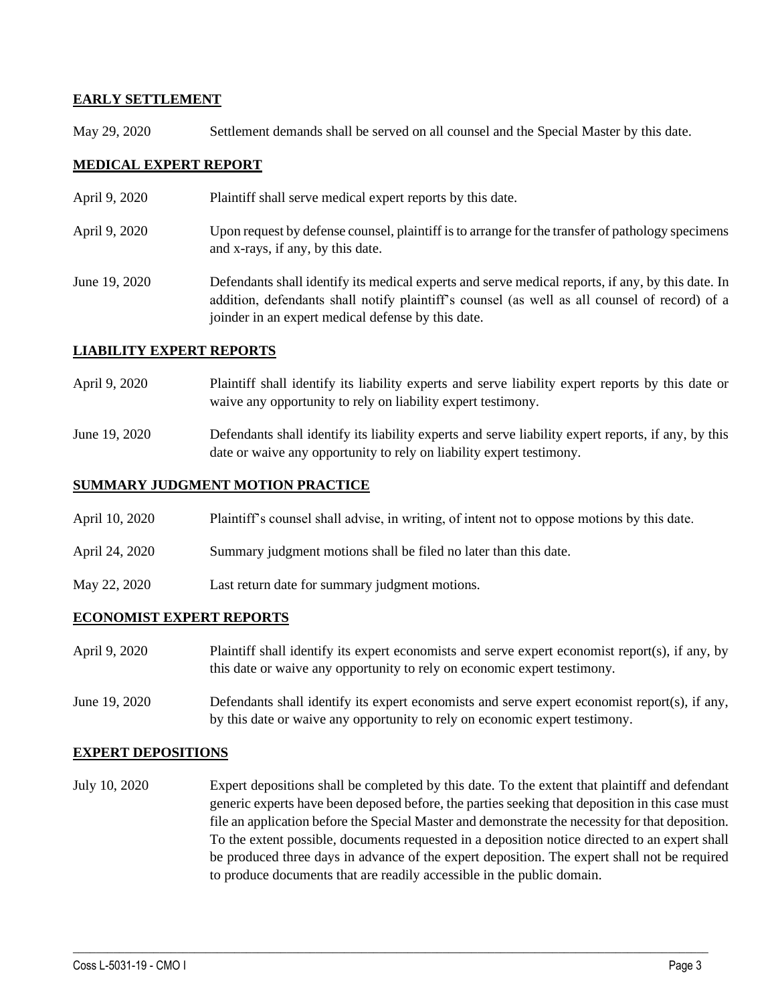#### **EARLY SETTLEMENT**

May 29, 2020 Settlement demands shall be served on all counsel and the Special Master by this date.

### **MEDICAL EXPERT REPORT**

- April 9, 2020 Plaintiff shall serve medical expert reports by this date.
- April 9, 2020 Upon request by defense counsel, plaintiff is to arrange for the transfer of pathology specimens and x-rays, if any, by this date.
- June 19, 2020 Defendants shall identify its medical experts and serve medical reports, if any, by this date. In addition, defendants shall notify plaintiff's counsel (as well as all counsel of record) of a joinder in an expert medical defense by this date.

#### **LIABILITY EXPERT REPORTS**

- April 9, 2020 Plaintiff shall identify its liability experts and serve liability expert reports by this date or waive any opportunity to rely on liability expert testimony.
- June 19, 2020 Defendants shall identify its liability experts and serve liability expert reports, if any, by this date or waive any opportunity to rely on liability expert testimony.

#### **SUMMARY JUDGMENT MOTION PRACTICE**

- April 10, 2020 Plaintiff's counsel shall advise, in writing, of intent not to oppose motions by this date.
- April 24, 2020 Summary judgment motions shall be filed no later than this date.
- May 22, 2020 Last return date for summary judgment motions.

#### **ECONOMIST EXPERT REPORTS**

- April 9, 2020 Plaintiff shall identify its expert economists and serve expert economist report(s), if any, by this date or waive any opportunity to rely on economic expert testimony.
- June 19, 2020 Defendants shall identify its expert economists and serve expert economist report(s), if any, by this date or waive any opportunity to rely on economic expert testimony.

#### **EXPERT DEPOSITIONS**

July 10, 2020 Expert depositions shall be completed by this date. To the extent that plaintiff and defendant generic experts have been deposed before, the parties seeking that deposition in this case must file an application before the Special Master and demonstrate the necessity for that deposition. To the extent possible, documents requested in a deposition notice directed to an expert shall be produced three days in advance of the expert deposition. The expert shall not be required to produce documents that are readily accessible in the public domain.

 $\_$  , and the set of the set of the set of the set of the set of the set of the set of the set of the set of the set of the set of the set of the set of the set of the set of the set of the set of the set of the set of th